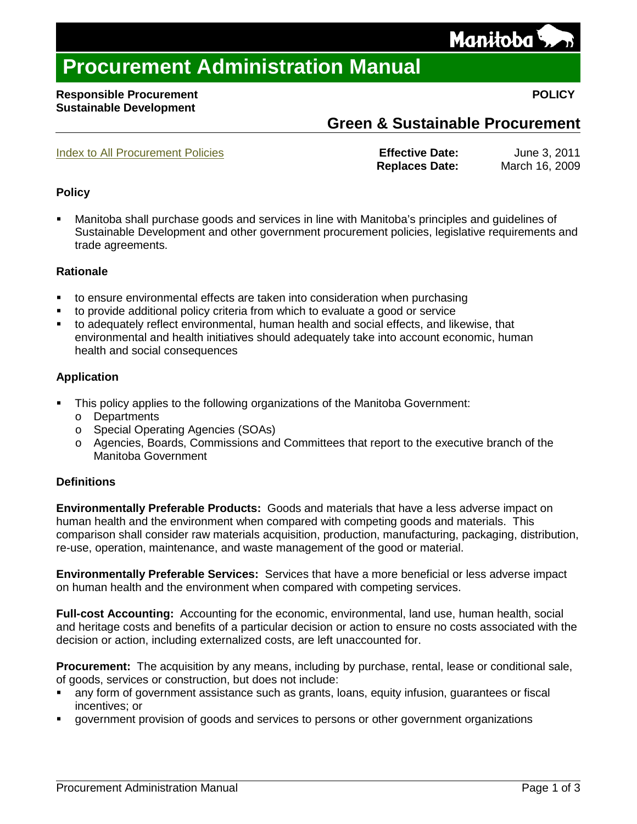## **Procurement Administration Manual**

#### **Responsible Procurement POLICY Sustainable Development**

### **Green & Sustainable Procurement**

<span id="page-0-0"></span>[Index to All Procurement Policies](http://www.gs.internal/psb/Policy_Index.htm) **Effective Date:** June 3, 2011 **Replaces Date:** March 16, 2009

### **Policy**

 Manitoba shall purchase goods and services in line with Manitoba's principles and guidelines of Sustainable Development and other government procurement policies, legislative requirements and trade agreements.

#### **Rationale**

- to ensure environmental effects are taken into consideration when purchasing
- to provide additional policy criteria from which to evaluate a good or service
- to adequately reflect environmental, human health and social effects, and likewise, that environmental and health initiatives should adequately take into account economic, human health and social consequences

### **Application**

- This policy applies to the following organizations of the Manitoba Government:
	- o Departments
	- o Special Operating Agencies (SOAs)
	- o Agencies, Boards, Commissions and Committees that report to the executive branch of the Manitoba Government

#### **Definitions**

**Environmentally Preferable Products:** Goods and materials that have a less adverse impact on human health and the environment when compared with competing goods and materials. This comparison shall consider raw materials acquisition, production, manufacturing, packaging, distribution, re-use, operation, maintenance, and waste management of the good or material.

**Environmentally Preferable Services:** Services that have a more beneficial or less adverse impact on human health and the environment when compared with competing services.

**Full-cost Accounting:** Accounting for the economic, environmental, land use, human health, social and heritage costs and benefits of a particular decision or action to ensure no costs associated with the decision or action, including externalized costs, are left unaccounted for.

**Procurement:** The acquisition by any means, including by purchase, rental, lease or conditional sale, of goods, services or construction, but does not include:

- any form of government assistance such as grants, loans, equity infusion, guarantees or fiscal incentives; or
- government provision of goods and services to persons or other government organizations

# Manitoba'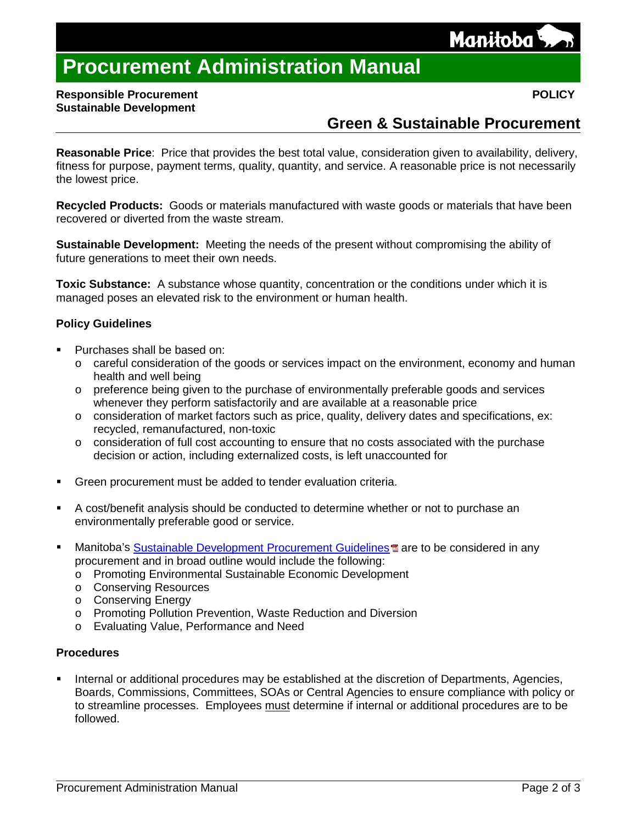

## **Procurement Administration Manual**

#### **Responsible Procurement POLICY Sustainable Development**

### **Green & Sustainable Procurement**

**Reasonable Price**: [Price](http://www.businessdictionary.com/definition/labor-rate-price-variance.html) that [provides](http://www.businessdictionary.com/definition/provide.html) the best [total value,](http://www.businessdictionary.com/definition/total-value.html) consideration given to [availability,](http://www.businessdictionary.com/definition/availability.html) [delivery,](http://www.businessdictionary.com/definition/delivery-time.html) fitness for purpose, [payment terms,](http://www.businessdictionary.com/definition/payment-terms.html) [quality,](http://www.businessdictionary.com/definition/quality.html) [quantity,](http://www.businessdictionary.com/definition/quantity.html) and [service.](http://www.businessdictionary.com/definition/final-good-service.html) A reasonable price is not necessarily the lowest price.

**Recycled Products:** Goods or materials manufactured with waste goods or materials that have been recovered or diverted from the waste stream.

**Sustainable Development:** Meeting the needs of the present without compromising the ability of future generations to meet their own needs.

**Toxic Substance:** A substance whose quantity, concentration or the conditions under which it is managed poses an elevated risk to the environment or human health.

#### **Policy Guidelines**

- Purchases shall be based on:
	- $\circ$  careful consideration of the goods or services impact on the environment, economy and human health and well being
	- o preference being given to the purchase of environmentally preferable goods and services whenever they perform satisfactorily and are available at a reasonable price
	- o consideration of market factors such as price, quality, delivery dates and specifications, ex: recycled, remanufactured, non-toxic
	- o consideration of full cost accounting to ensure that no costs associated with the purchase decision or action, including externalized costs, is left unaccounted for
- Green procurement must be added to tender evaluation criteria.
- A cost/benefit analysis should be conducted to determine whether or not to purchase an environmentally preferable good or service.
- Manitoba's [Sustainable Development Procurement Guidelines](http://www.gs.internal/psb/sustainable_development_procurement_guidelines.pdf) and are to be considered in any procurement and in broad outline would include the following:
	- o Promoting Environmental Sustainable Economic Development
	- o Conserving Resources
	- o Conserving Energy
	- o Promoting Pollution Prevention, Waste Reduction and Diversion
	- o Evaluating Value, Performance and Need

#### **Procedures**

 Internal or additional procedures may be established at the discretion of Departments, Agencies, Boards, Commissions, Committees, SOAs or Central Agencies to ensure compliance with policy or to streamline processes. Employees must determine if internal or additional procedures are to be followed.